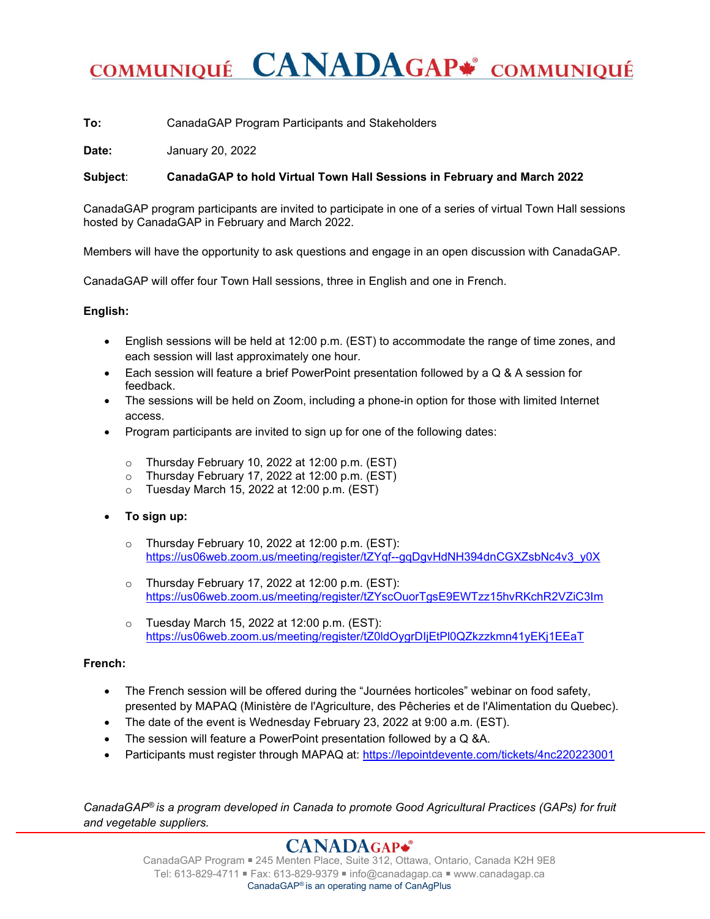# COMMUNIQUÉ CANADAGAP\* COMMUNIQUÉ

**To:** CanadaGAP Program Participants and Stakeholders

**Date:** January 20, 2022

## **Subject**: **CanadaGAP to hold Virtual Town Hall Sessions in February and March 2022**

CanadaGAP program participants are invited to participate in one of a series of virtual Town Hall sessions hosted by CanadaGAP in February and March 2022.

Members will have the opportunity to ask questions and engage in an open discussion with CanadaGAP.

CanadaGAP will offer four Town Hall sessions, three in English and one in French.

#### **English:**

- English sessions will be held at 12:00 p.m. (EST) to accommodate the range of time zones, and each session will last approximately one hour.
- Each session will feature a brief PowerPoint presentation followed by a Q & A session for feedback.
- The sessions will be held on Zoom, including a phone-in option for those with limited Internet access.
- Program participants are invited to sign up for one of the following dates:
	- o Thursday February 10, 2022 at 12:00 p.m. (EST)
	- o Thursday February 17, 2022 at 12:00 p.m. (EST)
	- $\circ$  Tuesday March 15, 2022 at 12:00 p.m. (EST)
- **To sign up:**
	- o Thursday February 10, 2022 at 12:00 p.m. (EST): [https://us06web.zoom.us/meeting/register/tZYqf--gqDgvHdNH394dnCGXZsbNc4v3\\_y0X](https://us06web.zoom.us/meeting/register/tZYqf--gqDgvHdNH394dnCGXZsbNc4v3_y0X)
	- $\circ$  Thursday February 17, 2022 at 12:00 p.m. (EST): <https://us06web.zoom.us/meeting/register/tZYscOuorTgsE9EWTzz15hvRKchR2VZiC3Im>
	- o Tuesday March 15, 2022 at 12:00 p.m. (EST): <https://us06web.zoom.us/meeting/register/tZ0ldOygrDIjEtPl0QZkzzkmn41yEKj1EEaT>

## **French:**

- The French session will be offered during the "Journées horticoles" webinar on food safety, presented by MAPAQ (Ministère de l'Agriculture, des Pêcheries et de l'Alimentation du Quebec).
- The date of the event is Wednesday February 23, 2022 at 9:00 a.m. (EST).
- The session will feature a PowerPoint presentation followed by a Q &A.
- Participants must register through MAPAQ at:<https://lepointdevente.com/tickets/4nc220223001>

*CanadaGAP® is a program developed in Canada to promote Good Agricultural Practices (GAPs) for fruit and vegetable suppliers.*